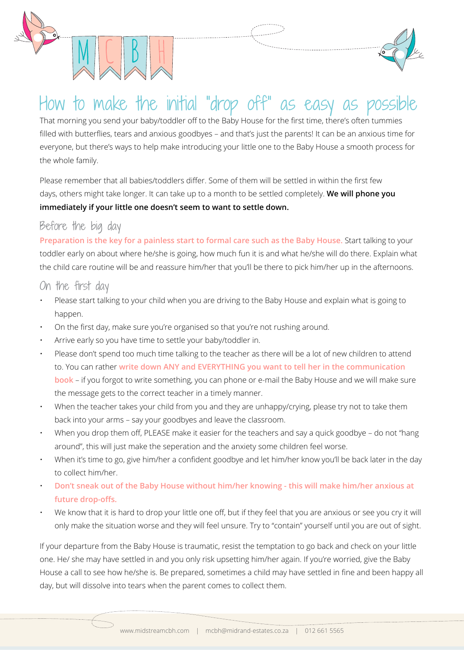



# How to make the initial "drop off" as easy as

That morning you send your baby/toddler off to the Baby House for the first time, there's often tummies filled with butterflies, tears and anxious goodbyes – and that's just the parents! It can be an anxious time for everyone, but there's ways to help make introducing your little one to the Baby House a smooth process for the whole family.

Please remember that all babies/toddlers differ. Some of them will be settled in within the first few days, others might take longer. It can take up to a month to be settled completely. **We will phone you immediately if your little one doesn't seem to want to settle down.**

#### Before the big day

**Preparation is the key for a painless start to formal care such as the Baby House.** Start talking to your toddler early on about where he/she is going, how much fun it is and what he/she will do there. Explain what the child care routine will be and reassure him/her that you'll be there to pick him/her up in the afternoons.

#### On the first day

- Please start talking to your child when you are driving to the Baby House and explain what is going to happen.
- On the first day, make sure you're organised so that you're not rushing around.
- Arrive early so you have time to settle your baby/toddler in.
- Please don't spend too much time talking to the teacher as there will be a lot of new children to attend to. You can rather **write down ANY and EVERYTHING you want to tell her in the communication book** – if you forgot to write something, you can phone or e-mail the Baby House and we will make sure the message gets to the correct teacher in a timely manner.
- When the teacher takes your child from you and they are unhappy/crying, please try not to take them back into your arms – say your goodbyes and leave the classroom.
- When you drop them off, PLEASE make it easier for the teachers and say a quick goodbye do not "hang around", this will just make the seperation and the anxiety some children feel worse.
- When it's time to go, give him/her a confident goodbye and let him/her know you'll be back later in the day to collect him/her.
- **Don't sneak out of the Baby House without him/her knowing this will make him/her anxious at future drop-offs.**
- We know that it is hard to drop your little one off, but if they feel that you are anxious or see you cry it will only make the situation worse and they will feel unsure. Try to "contain" yourself until you are out of sight.

If your departure from the Baby House is traumatic, resist the temptation to go back and check on your little one. He/ she may have settled in and you only risk upsetting him/her again. If you're worried, give the Baby House a call to see how he/she is. Be prepared, sometimes a child may have settled in fine and been happy all day, but will dissolve into tears when the parent comes to collect them.